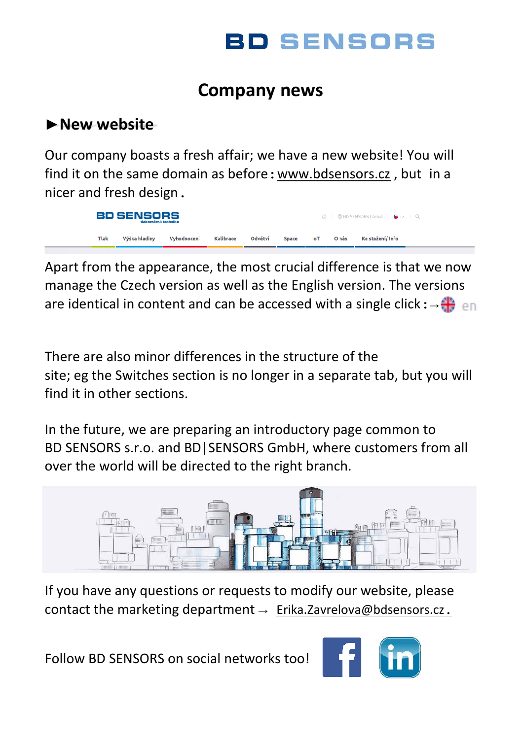

## **Company news**

#### **►New website**

Our company boasts a fresh affair; we have a new website! You will find it on the same domain as before:www.bdsensors.cz , but in a nicer and fresh design.

**BD SENSORS CD BD SENSORS Global | C cz** Výška hladiny Tiak Vyhodnoceni Kalibrace Odvětví Onás Ke stažení/ Info

Apart from the appearance, the most crucial difference is that we now manage the Czech version as well as the English version. The versions are identical in content and can be accessed with a single click:  $\rightarrow$  +

There are also minor differences in the structure of the site; eg the Switches section is no longer in a separate tab, but you will find it in other sections.

In the future, we are preparing an introductory page common to BD SENSORS s.r.o. and BD|SENSORS GmbH, where customers from all over the world will be directed to the right branch.



If you have any questions or requests to modify our website, please contact the marketing department  $\rightarrow$  [Erika.Zavrelova@bdsensors.cz](mailto:Erika.Zavrelova@bdsensors.cz).

Follow BD SENSORS on social networks too!